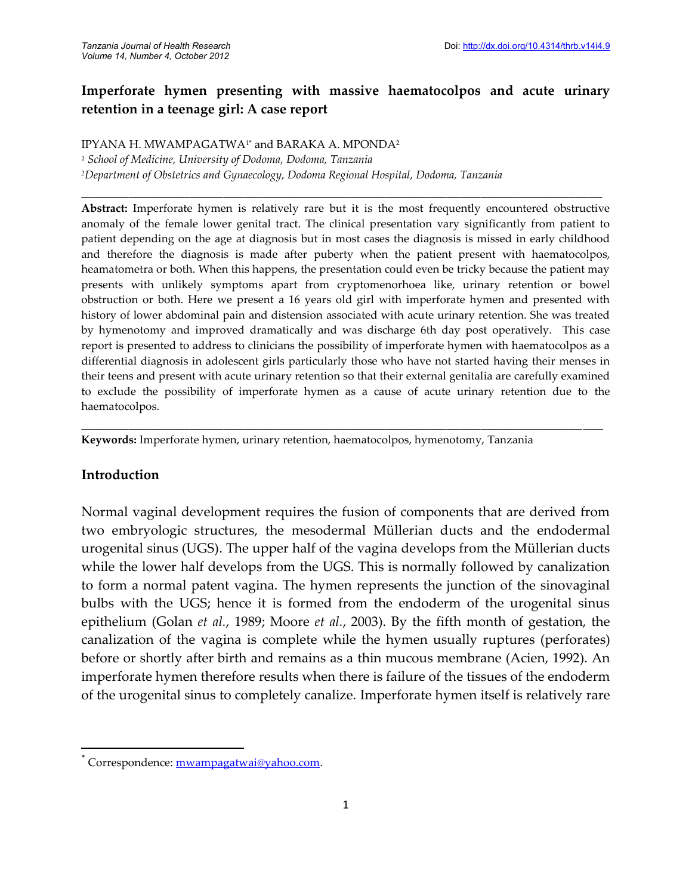# **Imperforate hymen presenting with massive haematocolpos and acute urinary retention in a teenage girl: A case report**

\_\_\_\_\_\_\_\_\_\_\_\_\_\_\_\_\_\_\_\_\_\_\_\_\_\_\_\_\_\_\_\_\_\_\_\_\_\_\_\_\_\_\_\_\_\_\_\_\_\_\_\_\_\_\_\_\_\_\_\_\_\_\_\_\_\_\_\_\_\_\_\_\_\_\_\_\_

IPYANA H. MWAMPAGATWA1\* and BARAKA A. MPONDA<sup>2</sup>

*<sup>1</sup> School of Medicine, University of Dodoma, Dodoma, Tanzania <sup>2</sup>Department of Obstetrics and Gynaecology, Dodoma Regional Hospital, Dodoma, Tanzania*

**Abstract:** Imperforate hymen is relatively rare but it is the most frequently encountered obstructive anomaly of the female lower genital tract. The clinical presentation vary significantly from patient to patient depending on the age at diagnosis but in most cases the diagnosis is missed in early childhood and therefore the diagnosis is made after puberty when the patient present with haematocolpos, heamatometra or both. When this happens, the presentation could even be tricky because the patient may presents with unlikely symptoms apart from cryptomenorhoea like, urinary retention or bowel obstruction or both. Here we present a 16 years old girl with imperforate hymen and presented with history of lower abdominal pain and distension associated with acute urinary retention. She was treated by hymenotomy and improved dramatically and was discharge 6th day post operatively. This case report is presented to address to clinicians the possibility of imperforate hymen with haematocolpos as a differential diagnosis in adolescent girls particularly those who have not started having their menses in their teens and present with acute urinary retention so that their external genitalia are carefully examined to exclude the possibility of imperforate hymen as a cause of acute urinary retention due to the haematocolpos.

\_\_\_\_\_\_\_\_\_\_\_\_\_\_\_\_\_\_\_\_\_\_\_\_\_\_\_\_\_\_\_\_\_\_\_\_\_\_\_\_\_\_\_\_\_\_\_\_\_\_\_\_\_\_\_\_\_\_\_\_\_\_\_\_\_\_\_\_\_\_\_\_\_\_\_\_\_

**Keywords:** Imperforate hymen, urinary retention, haematocolpos, hymenotomy, Tanzania

### **Introduction**

Normal vaginal development requires the fusion of components that are derived from two embryologic structures, the mesodermal Müllerian ducts and the endodermal urogenital sinus (UGS). The upper half of the vagina develops from the Müllerian ducts while the lower half develops from the UGS. This is normally followed by canalization to form a normal patent vagina. The hymen represents the junction of the sinovaginal bulbs with the UGS; hence it is formed from the endoderm of the urogenital sinus epithelium (Golan *et al.*, 1989; Moore *et al.*, 2003). By the fifth month of gestation, the canalization of the vagina is complete while the hymen usually ruptures (perforates) before or shortly after birth and remains as a thin mucous membrane (Acien, 1992). An imperforate hymen therefore results when there is failure of the tissues of the endoderm of the urogenital sinus to completely canalize. Imperforate hymen itself is relatively rare

Correspondence: mwampagatwai@yahoo.com.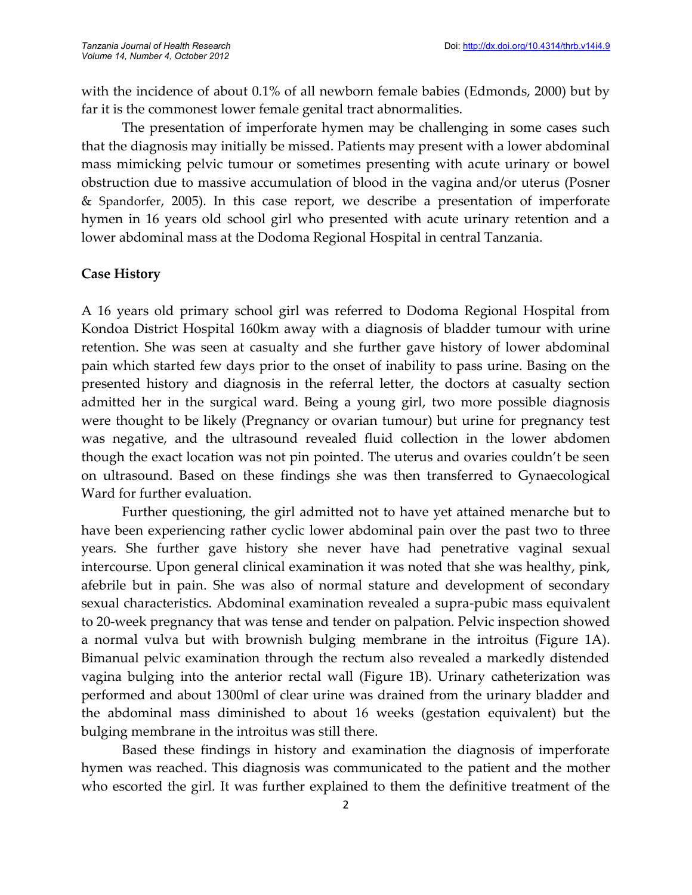with the incidence of about 0.1% of all newborn female babies (Edmonds, 2000) but by far it is the commonest lower female genital tract abnormalities.

The presentation of imperforate hymen may be challenging in some cases such that the diagnosis may initially be missed. Patients may present with a lower abdominal mass mimicking pelvic tumour or sometimes presenting with acute urinary or bowel obstruction due to massive accumulation of blood in the vagina and/or uterus (Posner & Spandorfer, 2005). In this case report, we describe a presentation of imperforate hymen in 16 years old school girl who presented with acute urinary retention and a lower abdominal mass at the Dodoma Regional Hospital in central Tanzania.

### **Case History**

A 16 years old primary school girl was referred to Dodoma Regional Hospital from Kondoa District Hospital 160km away with a diagnosis of bladder tumour with urine retention. She was seen at casualty and she further gave history of lower abdominal pain which started few days prior to the onset of inability to pass urine. Basing on the presented history and diagnosis in the referral letter, the doctors at casualty section admitted her in the surgical ward. Being a young girl, two more possible diagnosis were thought to be likely (Pregnancy or ovarian tumour) but urine for pregnancy test was negative, and the ultrasound revealed fluid collection in the lower abdomen though the exact location was not pin pointed. The uterus and ovaries couldn't be seen on ultrasound. Based on these findings she was then transferred to Gynaecological Ward for further evaluation.

Further questioning, the girl admitted not to have yet attained menarche but to have been experiencing rather cyclic lower abdominal pain over the past two to three years. She further gave history she never have had penetrative vaginal sexual intercourse. Upon general clinical examination it was noted that she was healthy, pink, afebrile but in pain. She was also of normal stature and development of secondary sexual characteristics. Abdominal examination revealed a supra-pubic mass equivalent to 20-week pregnancy that was tense and tender on palpation. Pelvic inspection showed a normal vulva but with brownish bulging membrane in the introitus (Figure 1A). Bimanual pelvic examination through the rectum also revealed a markedly distended vagina bulging into the anterior rectal wall (Figure 1B). Urinary catheterization was performed and about 1300ml of clear urine was drained from the urinary bladder and the abdominal mass diminished to about 16 weeks (gestation equivalent) but the bulging membrane in the introitus was still there.

Based these findings in history and examination the diagnosis of imperforate hymen was reached. This diagnosis was communicated to the patient and the mother who escorted the girl. It was further explained to them the definitive treatment of the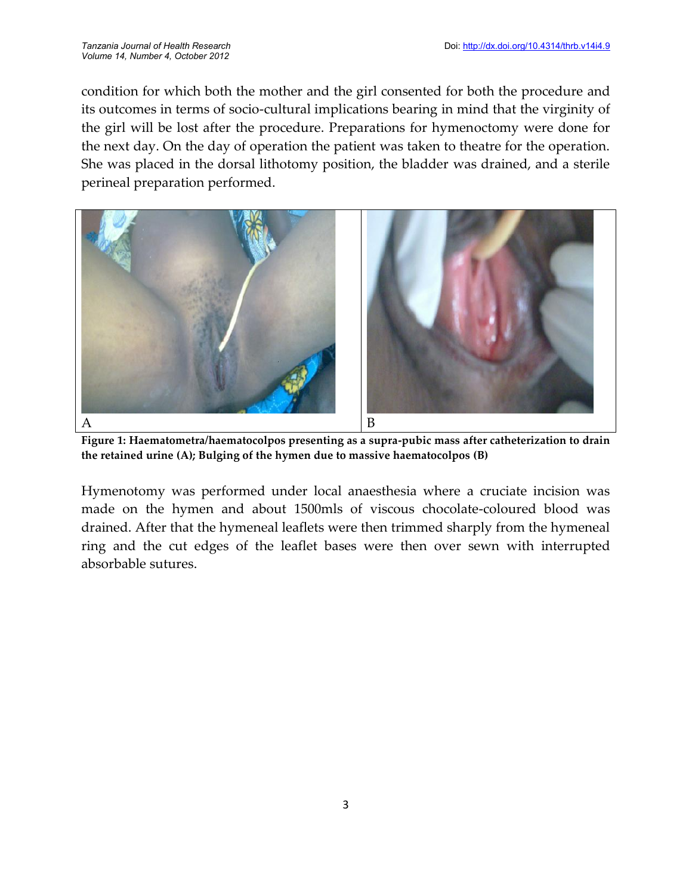condition for which both the mother and the girl consented for both the procedure and its outcomes in terms of socio-cultural implications bearing in mind that the virginity of the girl will be lost after the procedure. Preparations for hymenoctomy were done for the next day. On the day of operation the patient was taken to theatre for the operation. She was placed in the dorsal lithotomy position, the bladder was drained, and a sterile perineal preparation performed.



**Figure 1: Haematometra/haematocolpos presenting as a supra-pubic mass after catheterization to drain the retained urine (A); Bulging of the hymen due to massive haematocolpos (B)**

Hymenotomy was performed under local anaesthesia where a cruciate incision was made on the hymen and about 1500mls of viscous chocolate-coloured blood was drained. After that the hymeneal leaflets were then trimmed sharply from the hymeneal ring and the cut edges of the leaflet bases were then over sewn with interrupted absorbable sutures.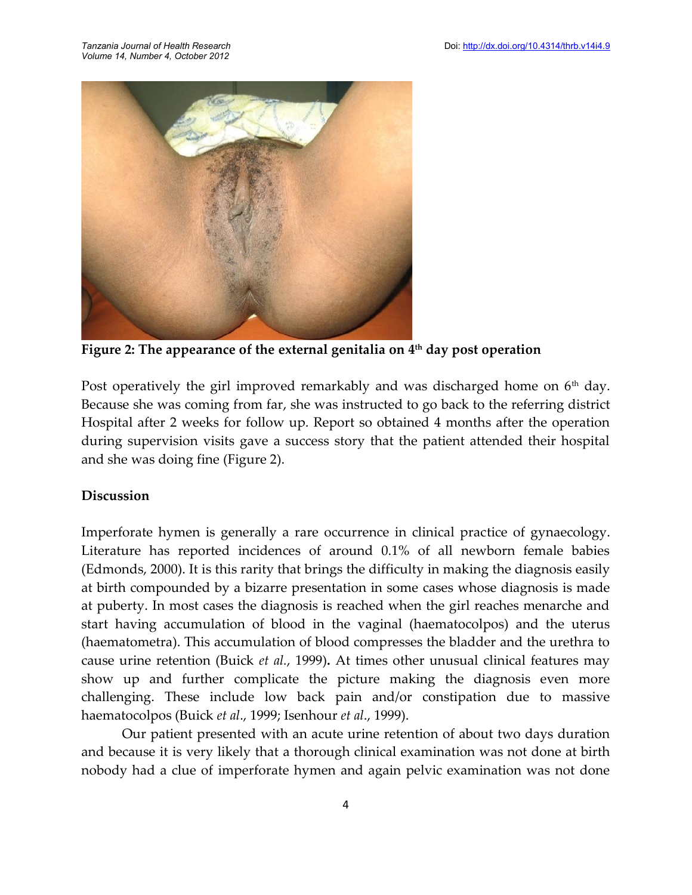

**Figure 2: The appearance of the external genitalia on 4th day post operation**

Post operatively the girl improved remarkably and was discharged home on  $6<sup>th</sup>$  day. Because she was coming from far, she was instructed to go back to the referring district Hospital after 2 weeks for follow up. Report so obtained 4 months after the operation during supervision visits gave a success story that the patient attended their hospital and she was doing fine (Figure 2).

#### **Discussion**

Imperforate hymen is generally a rare occurrence in clinical practice of gynaecology. Literature has reported incidences of around 0.1% of all newborn female babies (Edmonds, 2000). It is this rarity that brings the difficulty in making the diagnosis easily at birth compounded by a bizarre presentation in some cases whose diagnosis is made at puberty. In most cases the diagnosis is reached when the girl reaches menarche and start having accumulation of blood in the vaginal (haematocolpos) and the uterus (haematometra). This accumulation of blood compresses the bladder and the urethra to cause urine retention (Buick *et al.*, 1999)**.** At times other unusual clinical features may show up and further complicate the picture making the diagnosis even more challenging. These include low back pain and/or constipation due to massive haematocolpos (Buick *et al*., 1999; Isenhour *et al*., 1999).

Our patient presented with an acute urine retention of about two days duration and because it is very likely that a thorough clinical examination was not done at birth nobody had a clue of imperforate hymen and again pelvic examination was not done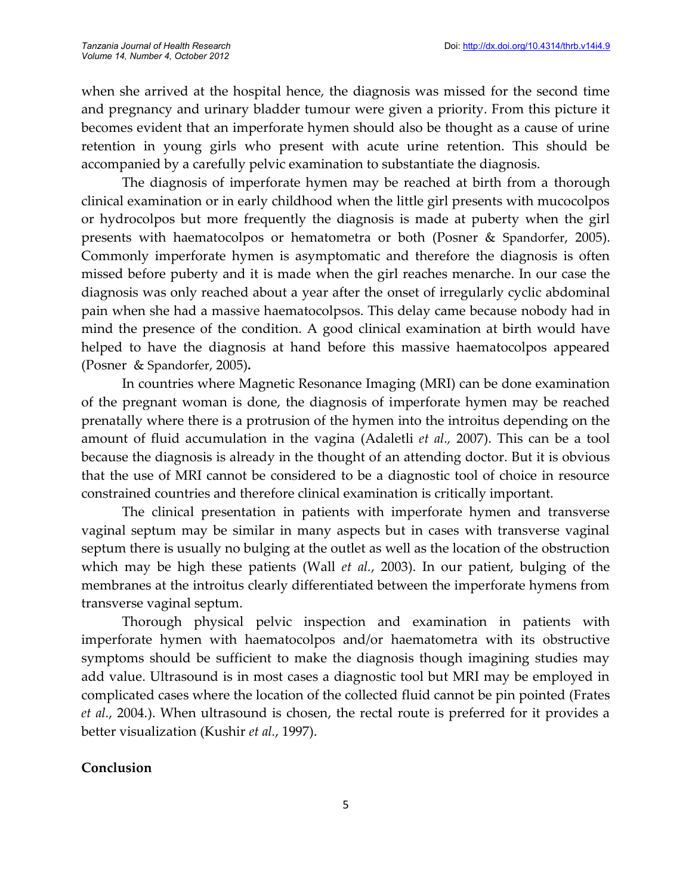when she arrived at the hospital hence, the diagnosis was missed for the second time and pregnancy and urinary bladder tumour were given a priority. From this picture it becomes evident that an imperforate hymen should also be thought as a cause of urine retention in young girls who present with acute urine retention. This should be accompanied by a carefully pelvic examination to substantiate the diagnosis.

The diagnosis of imperforate hymen may be reached at birth from a thorough clinical examination or in early childhood when the little girl presents with mucocolpos or hydrocolpos but more frequently the diagnosis is made at puberty when the girl presents with haematocolpos or hematometra or both (Posner & Spandorfer, 2005). Commonly imperforate hymen is asymptomatic and therefore the diagnosis is often missed before puberty and it is made when the girl reaches menarche. In our case the diagnosis was only reached about a year after the onset of irregularly cyclic abdominal pain when she had a massive haematocolpsos. This delay came because nobody had in mind the presence of the condition. A good clinical examination at birth would have helped to have the diagnosis at hand before this massive haematocolpos appeared (Posner & Spandorfer, 2005)**.**

In countries where Magnetic Resonance Imaging (MRI) can be done examination of the pregnant woman is done, the diagnosis of imperforate hymen may be reached prenatally where there is a protrusion of the hymen into the introitus depending on the amount of fluid accumulation in the vagina (Adaletli *et al.,* 2007). This can be a tool because the diagnosis is already in the thought of an attending doctor. But it is obvious that the use of MRI cannot be considered to be a diagnostic tool of choice in resource constrained countries and therefore clinical examination is critically important.

The clinical presentation in patients with imperforate hymen and transverse vaginal septum may be similar in many aspects but in cases with transverse vaginal septum there is usually no bulging at the outlet as well as the location of the obstruction which may be high these patients (Wall *et al.*, 2003). In our patient, bulging of the membranes at the introitus clearly differentiated between the imperforate hymens from transverse vaginal septum.

Thorough physical pelvic inspection and examination in patients with imperforate hymen with haematocolpos and/or haematometra with its obstructive symptoms should be sufficient to make the diagnosis though imagining studies may add value. Ultrasound is in most cases a diagnostic tool but MRI may be employed in complicated cases where the location of the collected fluid cannot be pin pointed (Frates *et al.*, 2004.). When ultrasound is chosen, the rectal route is preferred for it provides a better visualization (Kushir *et al.*, 1997).

### **Conclusion**